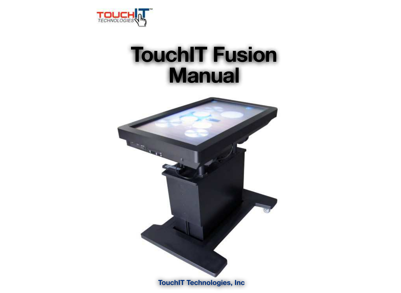

## **TouchIT Fusion Manual**

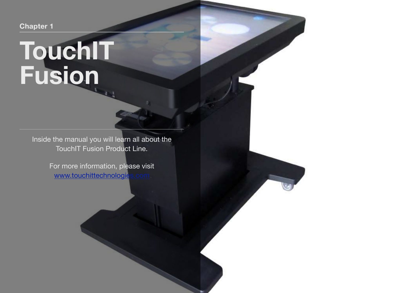**Chapter 1**

# **TouchIT Fusion**

Inside the manual you will learn all about the TouchIT Fusion Product Line.

> For more information, please visit [www.touchittechnologies.com](http://www.touchittechnologies.com)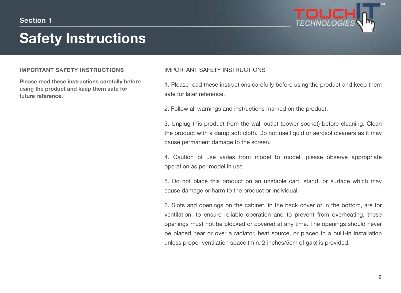### **Safety Instructions**



#### **IMPORTANT SAFETY INSTRUCTIONS**

**Please read these instructions carefully before using the product and keep them safe for future reference.**

#### IMPORTANT SAFETY INSTRUCTIONS

1. Please read these instructions carefully before using the product and keep them safe for later reference.

2. Follow all warnings and instructions marked on the product.

3. Unplug this product from the wall outlet (power socket) before cleaning. Clean the product with a damp soft cloth. Do not use liquid or aerosol cleaners as it may cause permanent damage to the screen.

4. Caution of use varies from model to model; please observe appropriate operation as per model in use.

5. Do not place this product on an unstable cart, stand, or surface which may cause damage or harm to the product or individual.

6. Slots and openings on the cabinet, in the back cover or in the bottom, are for ventilation; to ensure reliable operation and to prevent from overheating, these openings must not be blocked or covered at any time. The openings should never be placed near or over a radiator, heat source, or placed in a built-in installation unless proper ventilation space (min. 2 inches/5cm of gap) is provided.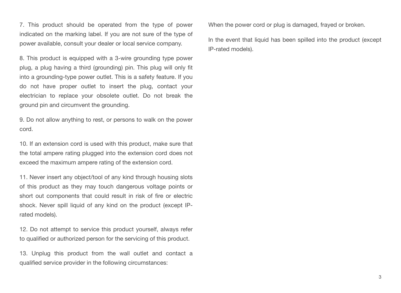7. This product should be operated from the type of power indicated on the marking label. If you are not sure of the type of power available, consult your dealer or local service company.

8. This product is equipped with a 3-wire grounding type power plug, a plug having a third (grounding) pin. This plug will only fit into a grounding-type power outlet. This is a safety feature. If you do not have proper outlet to insert the plug, contact your electrician to replace your obsolete outlet. Do not break the ground pin and circumvent the grounding.

9. Do not allow anything to rest, or persons to walk on the power cord.

10. If an extension cord is used with this product, make sure that the total ampere rating plugged into the extension cord does not exceed the maximum ampere rating of the extension cord.

11. Never insert any object/tool of any kind through housing slots of this product as they may touch dangerous voltage points or short out components that could result in risk of fire or electric shock. Never spill liquid of any kind on the product (except IPrated models).

12. Do not attempt to service this product yourself, always refer to qualified or authorized person for the servicing of this product.

13. Unplug this product from the wall outlet and contact a qualified service provider in the following circumstances:

When the power cord or plug is damaged, frayed or broken.

In the event that liquid has been spilled into the product (except IP-rated models).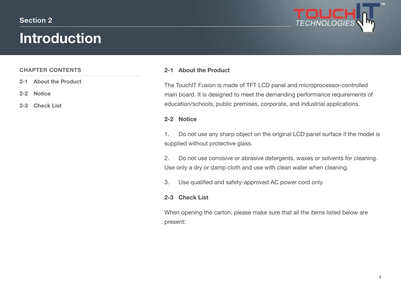### **Introduction**



#### **CHAPTER CONTENTS**

- **2-1 About the Product**
- **2-2 Notice**
- **2-3 Check List**

#### **2-1 About the Product**

The TouchIT Fusion is made of TFT LCD panel and microprocessor-controlled main board. It is designed to meet the demanding performance requirements of education/schools, public premises, corporate, and industrial applications.

#### **2-2 Notice**

1. Do not use any sharp object on the original LCD panel surface if the model is supplied without protective glass.

2. Do not use corrosive or abrasive detergents, waxes or solvents for cleaning. Use only a dry or damp cloth and use with clean water when cleaning.

3. Use qualified and safety-approved AC power cord only.

#### **2-3 Check List**

When opening the carton, please make sure that all the items listed below are present: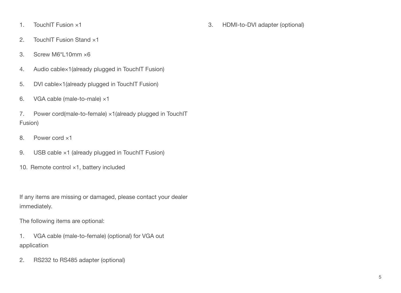- 1. TouchIT Fusion ×1
- 2. TouchIT Fusion Stand ×1
- 3. Screw M6\*L10mm ×6
- 4. Audio cable×1(already plugged in TouchIT Fusion)
- 5. DVI cable×1(already plugged in TouchIT Fusion)
- 6. VGA cable (male-to-male) ×1
- 7. Power cord(male-to-female) ×1(already plugged in TouchIT Fusion)
- 8. Power cord ×1
- 9. USB cable ×1 (already plugged in TouchIT Fusion)
- 10. Remote control ×1, battery included

If any items are missing or damaged, please contact your dealer immediately.

The following items are optional:

- 1. VGA cable (male-to-female) (optional) for VGA out application
- 2. RS232 to RS485 adapter (optional)

3. HDMI-to-DVI adapter (optional)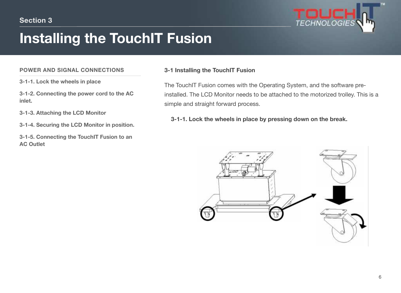

### **Installing the TouchIT Fusion**

#### **POWER AND SIGNAL CONNECTIONS**

**3-1-1. Lock the wheels in place** 

**3-1-2. Connecting the power cord to the AC inlet.**

**3-1-3. Attaching the LCD Monitor**

**3-1-4. Securing the LCD Monitor in position.**

**3-1-5. Connecting the TouchIT Fusion to an AC Outlet**

#### **3-1 Installing the TouchIT Fusion**

The TouchIT Fusion comes with the Operating System, and the software preinstalled. The LCD Monitor needs to be attached to the motorized trolley. This is a simple and straight forward process.

 **3-1-1. Lock the wheels in place by pressing down on the break.**

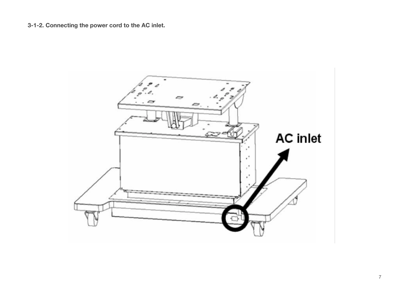**3-1-2. Connecting the power cord to the AC inlet.**

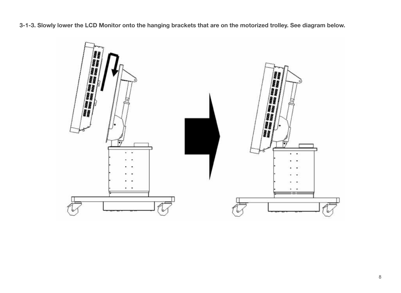**3-1-3. Slowly lower the LCD Monitor onto the hanging brackets that are on the motorized trolley. See diagram below.**

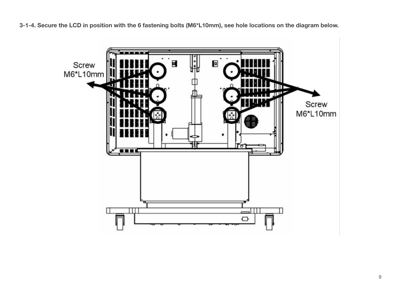**3-1-4. Secure the LCD in position with the 6 fastening bolts (M6\*L10mm), see hole locations on the diagram below.**

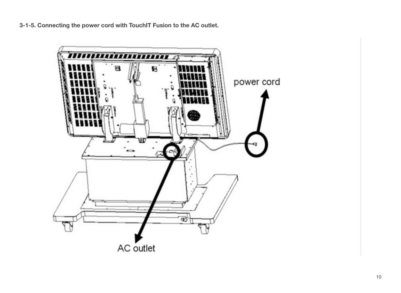**3-1-5. Connecting the power cord with TouchIT Fusion to the AC outlet.**

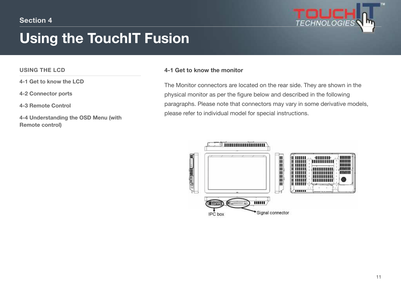

### **Using the TouchIT Fusion**

#### **USING THE LCD**

**4-1 Get to know the LCD**

**4-2 Connector ports**

**4-3 Remote Control**

**4-4 Understanding the OSD Menu (with Remote control)**

#### **4-1 Get to know the monitor**

The Monitor connectors are located on the rear side. They are shown in the physical monitor as per the figure below and described in the following paragraphs. Please note that connectors may vary in some derivative models, please refer to individual model for special instructions.

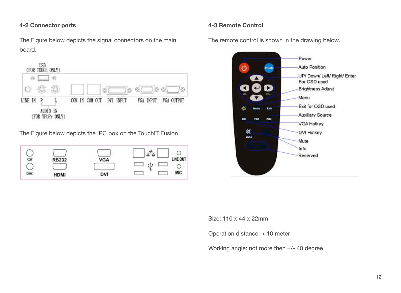#### **4-2 Connector ports**

The Figure below depicts the signal connectors on the main board.



The Figure below depicts the IPC box on the TouchIT Fusion.

| ΞН                    | <b>RS232</b> | <b>VGA</b> | LINE OUT |
|-----------------------|--------------|------------|----------|
| <b>XXXX</b><br>72 Y.H | <b>HDMI</b>  | DVI        | MIC.     |

**4-3 Remote Control**

The remote control is shown in the drawing below.



Size: 110 x 44 x 22mm

Operation distance: > 10 meter

Working angle: not more then +/- 40 degree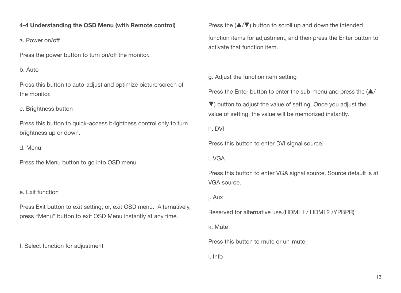#### **4-4 Understanding the OSD Menu (with Remote control)**

a. Power on/off

Press the power button to turn on/off the monitor.

b. Auto

Press this button to auto-adjust and optimize picture screen of the monitor.

c. Brightness button

Press this button to quick-access brightness control only to turn brightness up or down.

d. Menu

Press the Menu button to go into OSD menu.

e. Exit function

Press Exit button to exit setting, or, exit OSD menu. Alternatively, press "Menu" button to exit OSD Menu instantly at any time.

f. Select function for adjustment

Press the  $(\triangle/\triangledown)$  button to scroll up and down the intended function items for adjustment, and then press the Enter button to activate that function item.

g. Adjust the function item setting

Press the Enter button to enter the sub-menu and press the  $(\triangle/$ 

▼) button to adjust the value of setting. Once you adjust the value of setting, the value will be memorized instantly.

h. DVI

Press this button to enter DVI signal source.

i. VGA

Press this button to enter VGA signal source. Source default is at VGA source.

j. Aux

Reserved for alternative use.(HDMI 1 / HDMI 2 /YPBPR)

k. Mute

Press this button to mute or un-mute.

l. Info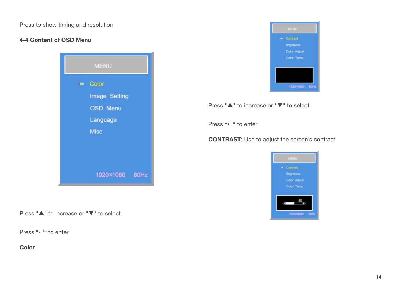Press to show timing and resolution

#### **4-4 Content of OSD Menu**



Press "▲" to increase or "▼" to select.

Press "↵" to enter

**Color**



Press "▲" to increase or "▼" to select.

Press "↵" to enter

**CONTRAST**: Use to adjust the screen's contrast

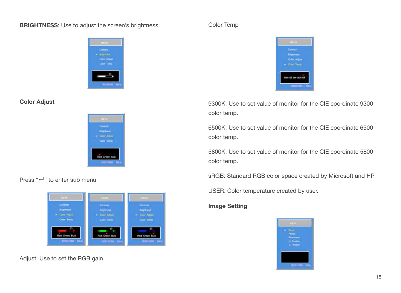#### **BRIGHTNESS**: Use to adjust the screen's brightness



#### **Color Adjust**



#### Press "↵" to enter sub menu



Adjust: Use to set the RGB gain

#### Color Temp



9300K: Use to set value of monitor for the CIE coordinate 9300 color temp.

6500K: Use to set value of monitor for the CIE coordinate 6500 color temp.

5800K: Use to set value of monitor for the CIE coordinate 5800 color temp.

sRGB: Standard RGB color space created by Microsoft and HP

USER: Color temperature created by user.

#### **Image Setting**

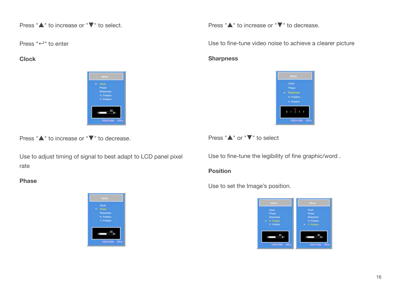Press "▲" to increase or "▼" to select.

Press "↵" to enter

**Clock**



Press "▲" to increase or "▼" to decrease.

Use to adjust timing of signal to best adapt to LCD panel pixel rate

#### **Phase**



Press "▲" to increase or "▼" to decrease.

Use to fine-tune video noise to achieve a clearer picture

#### **Sharpness**



Press "▲" or "▼" to select

Use to fine-tune the legibility of fine graphic/word .

#### **Position**

Use to set the Image's position.

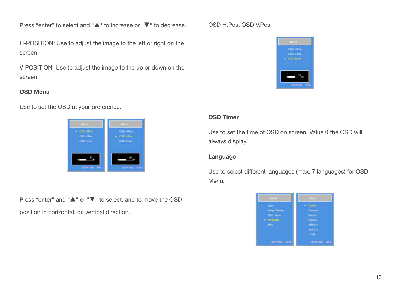Press "enter" to select and "▲" to increase or "▼" to decrease.

H-POSITION: Use to adjust the image to the left or right on the screen

V-POSITION: Use to adjust the image to the up or down on the screen

#### **OSD Menu**

Use to set the OSD at your preference.



Press "enter" and "▲" or "▼" to select, and to move the OSD position in horizontal, or, vertical direction.

#### OSD H.Pos. OSD V.Pos



#### **OSD Timer**

Use to set the time of OSD on screen. Value 0 the OSD will always display.

#### **Language**

Use to select different languages (max. 7 languages) for OSD Menu.

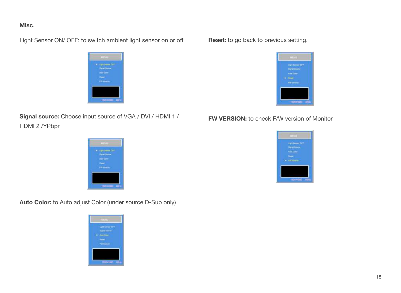#### **Misc**.

Light Sensor ON/ OFF: to switch ambient light sensor on or off

|        | <b>MENUL</b>                                                     |  |
|--------|------------------------------------------------------------------|--|
| $\sim$ | <b>GETT</b><br>art Seman<br>lane (muss)                          |  |
|        | <b><i><u>Lane</u></i></b> Earlier<br><b><i><u>SHARES</u></i></b> |  |
|        | <b>I'M www.ave</b>                                               |  |
|        |                                                                  |  |
|        | <b>TRADITIONS FOR</b>                                            |  |

**Signal source:** Choose input source of VGA / DVI / HDMI 1 / HDMI 2 /YPbpr

### \* untilement? **Real Bone I'M www. TROOPERING IN**

**Auto Color:** to Auto adjust Color (under source D-Sub only)



#### **Reset:** to go back to previous setting.



#### **FW VERSION:** to check F/W version of Monitor

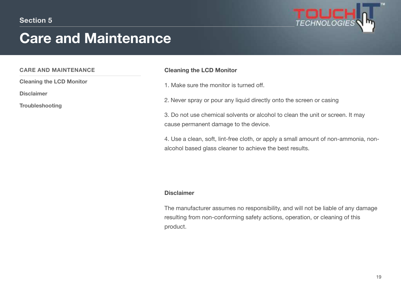

### **Care and Maintenance**

#### **CARE AND MAINTENANCE**

**Cleaning the LCD Monitor**

**Disclaimer**

**Troubleshooting**

#### **Cleaning the LCD Monitor**

- 1. Make sure the monitor is turned off.
- 2. Never spray or pour any liquid directly onto the screen or casing
- 3. Do not use chemical solvents or alcohol to clean the unit or screen. It may cause permanent damage to the device.
- 4. Use a clean, soft, lint-free cloth, or apply a small amount of non-ammonia, nonalcohol based glass cleaner to achieve the best results.

#### **Disclaimer**

The manufacturer assumes no responsibility, and will not be liable of any damage resulting from non-conforming safety actions, operation, or cleaning of this product.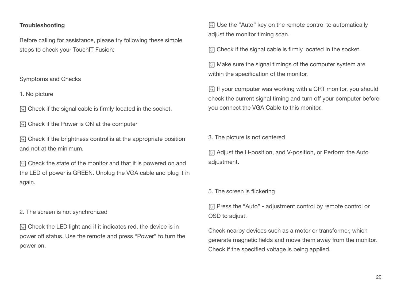#### **Troubleshooting**

Before calling for assistance, please try following these simple steps to check your TouchIT Fusion:

#### Symptoms and Checks

1. No picture

 $\odot$  Check if the signal cable is firmly located in the socket.

**I** Check if the Power is ON at the computer

 $\odot$  Check if the brightness control is at the appropriate position and not at the minimum.

 $\odot$  Check the state of the monitor and that it is powered on and the LED of power is GREEN. Unplug the VGA cable and plug it in again.

#### 2. The screen is not synchronized

 $\odot$  Check the LED light and if it indicates red, the device is in power off status. Use the remote and press "Power" to turn the power on.

**I**. Use the "Auto" key on the remote control to automatically adjust the monitor timing scan.

 $\odot$  Check if the signal cable is firmly located in the socket.

! Make sure the signal timings of the computer system are within the specification of the monitor.

 $\odot$  If your computer was working with a CRT monitor, you should check the current signal timing and turn off your computer before you connect the VGA Cable to this monitor.

3. The picture is not centered

**1** Adjust the H-position, and V-position, or Perform the Auto adjustment.

5. The screen is flickering

! Press the "Auto" - adjustment control by remote control or OSD to adjust.

Check nearby devices such as a motor or transformer, which generate magnetic fields and move them away from the monitor. Check if the specified voltage is being applied.